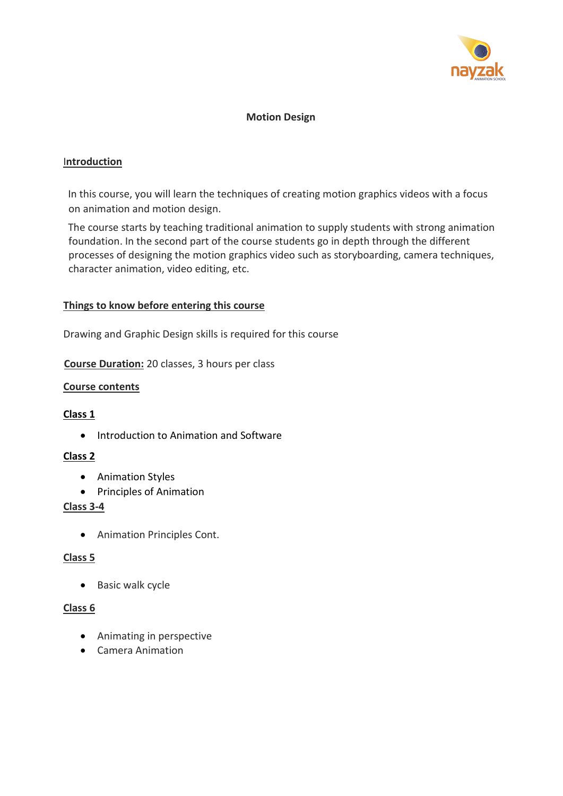

### **Motion Design**

### I**ntroduction**

on animation and motion design. In this course, you will learn the techniques of creating motion graphics videos with a focus

The course starts by teaching traditional animation to supply students with strong animation foundation. In the second part of the course students go in depth through the different processes of designing the motion graphics video such as storyboarding, camera techniques, character animation, video editing, etc.

### **Things to know before entering this course**

Drawing and Graphic Design skills is required for this course

**Course Duration:** 20 classes, 3 hours per class

### **Course contents**

#### **Class 1**

• Introduction to Animation and Software

### **Class 2**

- Animation Styles
- Principles of Animation

#### **Class 3-4**

• Animation Principles Cont.

#### **Class 5**

• Basic walk cycle

### **Class 6**

- Animating in perspective
- Camera Animation